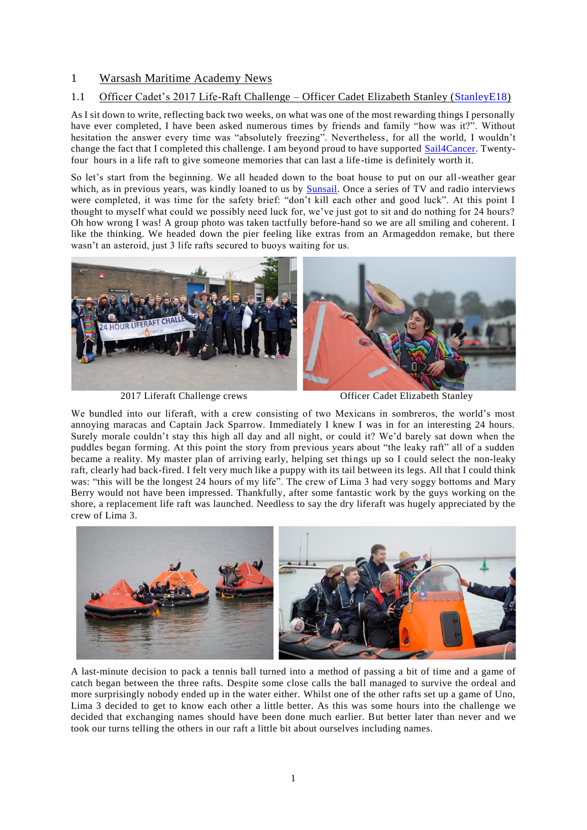## 1 Warsash Maritime Academy News

## 1.1 Officer Cadet's 2017 Life-Raft Challenge – Officer Cadet Elizabeth Stanley [\(StanleyE18\)](https://www.warsashassociation.net/site/members/view/stanleye18.htm)

As I sit down to write, reflecting back two weeks, on what was one of the most rewarding things I personally have ever completed, I have been asked numerous times by friends and family "how was it?". Without hesitation the answer every time was "absolutely freezing". Nevertheless, for all the world, I wouldn't change the fact that I completed this challenge. I am beyond proud to have supported [Sail4Cancer.](http://www.sail4cancer.org/team-warsash-liferaft-challenge-2017) Twentyfour hours in a life raft to give someone memories that can last a life -time is definitely worth it.

So let's start from the beginning. We all headed down to the boat house to put on our all-weather gear which, as in previous years, was kindly loaned to us by **Sunsail**. Once a series of TV and radio interviews were completed, it was time for the safety brief: "don't kill each other and good luck". At this point I thought to myself what could we possibly need luck for, we've just got to sit and do nothing for 24 hours? Oh how wrong I was! A group photo was taken tactfully before-hand so we are all smiling and coherent. I like the thinking. We headed down the pier feeling like extras from an Armageddon remake, but there wasn't an asteroid, just 3 life rafts secured to buoys waiting for us.



2017 Liferaft Challenge crews Officer Cadet Elizabeth Stanley

We bundled into our liferaft, with a crew consisting of two Mexicans in sombreros, the world's most annoying maracas and Captain Jack Sparrow. Immediately I knew I was in for an interesting 24 hours. Surely morale couldn't stay this high all day and all night, or could it? We'd barely sat down when the puddles began forming. At this point the story from previous years about "the leaky raft" all of a sudden became a reality. My master plan of arriving early, helping set things up so I could select the non-leaky raft, clearly had back-fired. I felt very much like a puppy with its tail between its legs. All that I could think was: "this will be the longest 24 hours of my life". The crew of Lima 3 had very soggy bottoms and Mary Berry would not have been impressed. Thankfully, after some fantastic work by the guys working on the shore, a replacement life raft was launched. Needless to say the dry liferaft was hugely appreciated by the crew of Lima 3.



A last-minute decision to pack a tennis ball turned into a method of passing a bit of time and a game of catch began between the three rafts. Despite some close calls the ball managed to survive the ordeal and more surprisingly nobody ended up in the water either. Whilst one of the other rafts set up a game of Uno, Lima 3 decided to get to know each other a little better. As this was some hours into the challenge we decided that exchanging names should have been done much earlier. But better later than never and we took our turns telling the others in our raft a little bit about ourselves including names.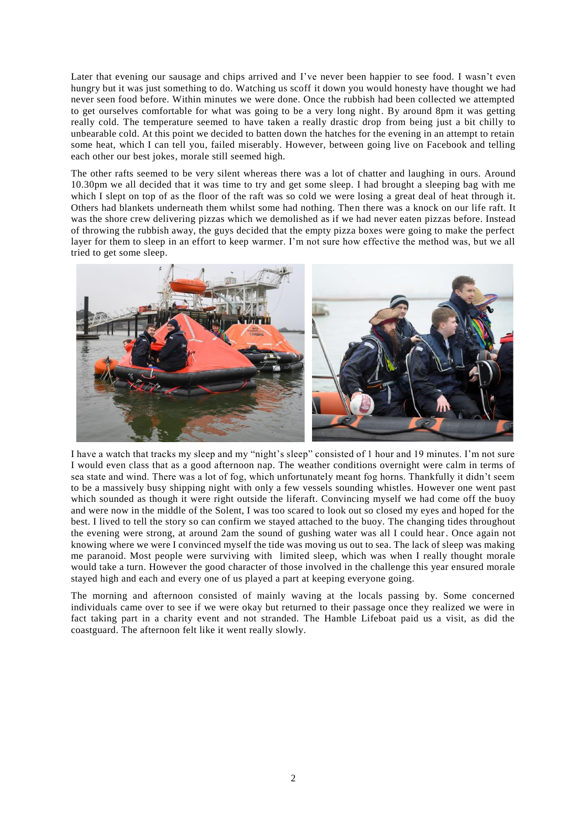Later that evening our sausage and chips arrived and I've never been happier to see food. I wasn't even hungry but it was just something to do. Watching us scoff it down you would honesty have thought we had never seen food before. Within minutes we were done. Once the rubbish had been collected we attempted to get ourselves comfortable for what was going to be a very long night. By around 8pm it was getting really cold. The temperature seemed to have taken a really drastic drop from being just a bit chilly to unbearable cold. At this point we decided to batten down the hatches for the evening in an attempt to retain some heat, which I can tell you, failed miserably. However, between going live on Facebook and telling each other our best jokes, morale still seemed high.

The other rafts seemed to be very silent whereas there was a lot of chatter and laughing in ours. Around 10.30pm we all decided that it was time to try and get some sleep. I had brought a sleeping bag with me which I slept on top of as the floor of the raft was so cold we were losing a great deal of heat through it. Others had blankets underneath them whilst some had nothing. Then there was a knock on our life raft. It was the shore crew delivering pizzas which we demolished as if we had never eaten pizzas before. Instead of throwing the rubbish away, the guys decided that the empty pizza boxes were going to make the perfect layer for them to sleep in an effort to keep warmer. I'm not sure how effective the method was, but we all tried to get some sleep.



I have a watch that tracks my sleep and my "night's sleep" consisted of 1 hour and 19 minutes. I'm not sure I would even class that as a good afternoon nap. The weather conditions overnight were calm in terms of sea state and wind. There was a lot of fog, which unfortunately meant fog horns. Thankfully it didn't seem to be a massively busy shipping night with only a few vessels sounding whistles. However one went past which sounded as though it were right outside the liferaft. Convincing myself we had come off the buoy and were now in the middle of the Solent, I was too scared to look out so closed my eyes and hoped for the best. I lived to tell the story so can confirm we stayed attached to the buoy. The changing tides throughout the evening were strong, at around 2am the sound of gushing water was all I could hear. Once again not knowing where we were I convinced myself the tide was moving us out to sea. The lack of sleep was making me paranoid. Most people were surviving with limited sleep, which was when I really thought morale would take a turn. However the good character of those involved in the challenge this year ensured morale stayed high and each and every one of us played a part at keeping everyone going.

The morning and afternoon consisted of mainly waving at the locals passing by. Some concerned individuals came over to see if we were okay but returned to their passage once they realized we were in fact taking part in a charity event and not stranded. The Hamble Lifeboat paid us a visit, as did the coastguard. The afternoon felt like it went really slowly.